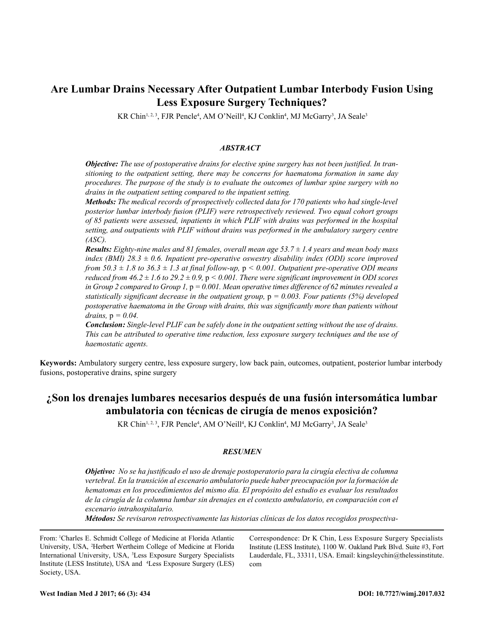# **Are Lumbar Drains Necessary After Outpatient Lumbar Interbody Fusion Using Less Exposure Surgery Techniques?**

KR Chin<sup>1, 2, 3</sup>, FJR Pencle<sup>4</sup>, AM O'Neill<sup>4</sup>, KJ Conklin<sup>4</sup>, MJ McGarry<sup>3</sup>, JA Seale<sup>3</sup>

# *ABSTRACT*

*Objective: The use of postoperative drains for elective spine surgery has not been justified. In transitioning to the outpatient setting, there may be concerns for haematoma formation in same day procedures. The purpose of the study is to evaluate the outcomes of lumbar spine surgery with no drains in the outpatient setting compared to the inpatient setting.*

*Methods: The medical records of prospectively collected data for 170 patients who had single-level posterior lumbar interbody fusion (PLIF) were retrospectively reviewed. Two equal cohort groups of 85 patients were assessed, inpatients in which PLIF with drains was performed in the hospital setting, and outpatients with PLIF without drains was performed in the ambulatory surgery centre (ASC).*

*Results: Eighty-nine males and 81 females, overall mean age 53.7 ± 1.4 years and mean body mass index (BMI) 28.3 ± 0.6. Inpatient pre-operative oswestry disability index (ODI) score improved from*  $50.3 \pm 1.8$  to  $36.3 \pm 1.3$  at final follow-up,  $p \le 0.001$ . Outpatient pre-operative ODI means *reduced from 46.2*  $\pm$  1.6 to 29.2  $\pm$  0.9,  $p < 0.001$ . There were significant improvement in ODI scores *in Group 2 compared to Group 1,* p *= 0.001. Mean operative times difference of 62 minutes revealed a statistically significant decrease in the outpatient group,* p *= 0.003. Four patients (5%) developed postoperative haematoma in the Group with drains, this was significantly more than patients without drains,* p *= 0.04.*

*Conclusion: Single-level PLIF can be safely done in the outpatient setting without the use of drains. This can be attributed to operative time reduction, less exposure surgery techniques and the use of haemostatic agents.*

**Keywords:** Ambulatory surgery centre, less exposure surgery, low back pain, outcomes, outpatient, posterior lumbar interbody fusions, postoperative drains, spine surgery

# **¿Son los drenajes lumbares necesarios después de una fusión intersomática lumbar ambulatoria con técnicas de cirugía de menos exposición?**

KR Chin<sup>1, 2, 3</sup>, FJR Pencle<sup>4</sup>, AM O'Neill<sup>4</sup>, KJ Conklin<sup>4</sup>, MJ McGarry<sup>3</sup>, JA Seale<sup>3</sup>

## *RESUMEN*

*Objetivo: No se ha justificado el uso de drenaje postoperatorio para la cirugía electiva de columna vertebral. En la transición al escenario ambulatorio puede haber preocupación por la formación de hematomas en los procedimientos del mismo día. El propósito del estudio es evaluar los resultados de la cirugía de la columna lumbar sin drenajes en el contexto ambulatorio, en comparación con el escenario intrahospitalario.* 

*Métodos: Se revisaron retrospectivamente las historias clínicas de los datos recogidos prospectiva-*

From: <sup>1</sup>Charles E. Schmidt College of Medicine at Florida Atlantic University, USA, <sup>2</sup>Herbert Wertheim College of Medicine at Florida International University, USA, <sup>3</sup>Less Exposure Surgery Specialists Institute (LESS Institute), USA and <sup>4</sup>Less Exposure Surgery (LES) Society, USA.

Correspondence: Dr K Chin, Less Exposure Surgery Specialists Institute (LESS Institute), 1100 W. Oakland Park Blvd. Suite #3, Fort Lauderdale, FL, 33311, USA. Email: kingsleychin@thelessinstitute. com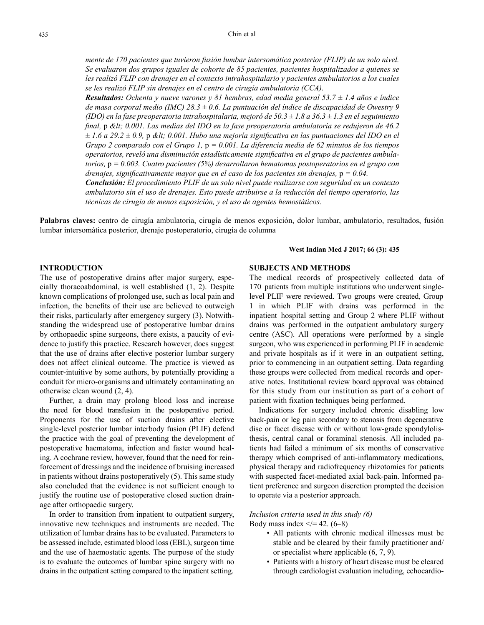*mente de 170 pacientes que tuvieron fusión lumbar intersomática posterior (FLIP) de un solo nivel. Se evaluaron dos grupos iguales de cohorte de 85 pacientes, pacientes hospitalizados a quienes se les realizó FLIP con drenajes en el contexto intrahospitalario y pacientes ambulatorios a los cuales se les realizó FLIP sin drenajes en el centro de cirugía ambulatoria (CCA).*

*Resultados: Ochenta y nueve varones y 81 hembras, edad media general 53.7 ± 1.4 años e índice de masa corporal medio (IMC) 28.3 ± 0.6. La puntuación del índice de discapacidad de Owestry 9 (IDO) en la fase preoperatoria intrahospitalaria, mejoró de 50.3 ± 1.8 a 36.3 ± 1.3 en el seguimiento final,* p *< 0.001. Las medias del IDO en la fase preoperatoria ambulatoria se redujeron de 46.2 ± 1.6 a 29.2 ± 0.9,* p *< 0.001. Hubo una mejoría significativa en las puntuaciones del IDO en el Grupo 2 comparado con el Grupo 1,* p *= 0.001. La diferencia media de 62 minutos de los tiempos operatorios, reveló una disminución estadísticamente significativa en el grupo de pacientes ambulatorios,* p *= 0.003. Cuatro pacientes (5%) desarrollaron hematomas postoperatorios en el grupo con drenajes, significativamente mayor que en el caso de los pacientes sin drenajes,* p *= 0.04. Conclusión: El procedimiento PLIF de un solo nivel puede realizarse con seguridad en un contexto* 

*ambulatorio sin el uso de drenajes. Esto puede atribuirse a la reducción del tiempo operatorio, las técnicas de cirugía de menos exposición, y el uso de agentes hemostáticos.*

**Palabras claves:** centro de cirugía ambulatoria, cirugía de menos exposición, dolor lumbar, ambulatorio, resultados, fusión lumbar intersomática posterior, drenaje postoperatorio, cirugía de columna

#### **West Indian Med J 2017; 66 (3): 435**

## **INTRODUCTION**

The use of postoperative drains after major surgery, especially thoracoabdominal, is well established (1, 2). Despite known complications of prolonged use, such as local pain and infection, the benefits of their use are believed to outweigh their risks, particularly after emergency surgery (3). Notwithstanding the widespread use of postoperative lumbar drains by orthopaedic spine surgeons, there exists, a paucity of evidence to justify this practice. Research however, does suggest that the use of drains after elective posterior lumbar surgery does not affect clinical outcome. The practice is viewed as counter-intuitive by some authors, by potentially providing a conduit for micro-organisms and ultimately contaminating an otherwise clean wound (2, 4).

Further, a drain may prolong blood loss and increase the need for blood transfusion in the postoperative period. Proponents for the use of suction drains after elective single-level posterior lumbar interbody fusion (PLIF) defend the practice with the goal of preventing the development of postoperative haematoma, infection and faster wound healing. A cochrane review, however, found that the need for reinforcement of dressings and the incidence of bruising increased in patients without drains postoperatively (5). This same study also concluded that the evidence is not sufficient enough to justify the routine use of postoperative closed suction drainage after orthopaedic surgery.

In order to transition from inpatient to outpatient surgery, innovative new techniques and instruments are needed. The utilization of lumbar drains has to be evaluated. Parameters to be assessed include, estimated blood loss (EBL), surgeon time and the use of haemostatic agents. The purpose of the study is to evaluate the outcomes of lumbar spine surgery with no drains in the outpatient setting compared to the inpatient setting.

## **SUBJECTS AND METHODS**

The medical records of prospectively collected data of 170 patients from multiple institutions who underwent singlelevel PLIF were reviewed. Two groups were created, Group 1 in which PLIF with drains was performed in the inpatient hospital setting and Group 2 where PLIF without drains was performed in the outpatient ambulatory surgery centre (ASC). All operations were performed by a single surgeon, who was experienced in performing PLIF in academic and private hospitals as if it were in an outpatient setting, prior to commencing in an outpatient setting. Data regarding these groups were collected from medical records and operative notes. Institutional review board approval was obtained for this study from our institution as part of a cohort of patient with fixation techniques being performed.

Indications for surgery included chronic disabling low back-pain or leg pain secondary to stenosis from degenerative disc or facet disease with or without low-grade spondylolisthesis, central canal or foraminal stenosis. All included patients had failed a minimum of six months of conservative therapy which comprised of anti-inflammatory medications, physical therapy and radiofrequency rhizotomies for patients with suspected facet-mediated axial back-pain. Informed patient preference and surgeon discretion prompted the decision to operate via a posterior approach.

*Inclusion criteria used in this study (6)* Body mass index  $\lt$  = 42. (6–8)

- All patients with chronic medical illnesses must be stable and be cleared by their family practitioner and/ or specialist where applicable (6, 7, 9).
- Patients with a history of heart disease must be cleared through cardiologist evaluation including, echocardio-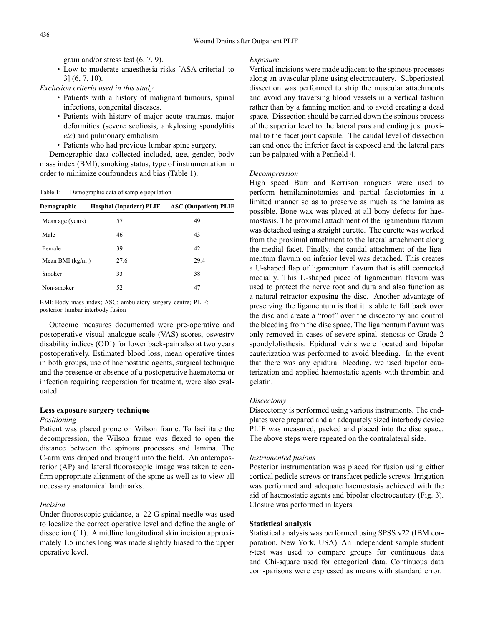gram and/or stress test (6, 7, 9).

• Low-to-moderate anaesthesia risks [ASA criteria1 to 3] (6, 7, 10).

*Exclusion criteria used in this study*

- Patients with a history of malignant tumours, spinal infections, congenital diseases.
- Patients with history of major acute traumas, major deformities (severe scoliosis, ankylosing spondylitis *etc*) and pulmonary embolism.
- Patients who had previous lumbar spine surgery.

Demographic data collected included, age, gender, body mass index (BMI), smoking status, type of instrumentation in order to minimize confounders and bias (Table 1).

Table 1: Demographic data of sample population

| Demographic        | <b>Hospital (Inpatient) PLIF</b> | <b>ASC</b> (Outpatient) PLIF |
|--------------------|----------------------------------|------------------------------|
| Mean age (years)   | 57                               | 49                           |
| Male               | 46                               | 43                           |
| Female             | 39                               | 42                           |
| Mean BMI $(kg/m2)$ | 27.6                             | 29.4                         |
| Smoker             | 33                               | 38                           |
| Non-smoker         | 52                               | 47                           |

BMI: Body mass index; ASC: ambulatory surgery centre; PLIF: posterior lumbar interbody fusion

Outcome measures documented were pre-operative and postoperative visual analogue scale (VAS) scores, oswestry disability indices (ODI) for lower back-pain also at two years postoperatively. Estimated blood loss, mean operative times in both groups, use of haemostatic agents, surgical technique and the presence or absence of a postoperative haematoma or infection requiring reoperation for treatment, were also evaluated.

#### **Less exposure surgery technique**

## *Positioning*

Patient was placed prone on Wilson frame. To facilitate the decompression, the Wilson frame was flexed to open the distance between the spinous processes and lamina. The C-arm was draped and brought into the field. An anteroposterior (AP) and lateral fluoroscopic image was taken to confirm appropriate alignment of the spine as well as to view all necessary anatomical landmarks.

# *Incision*

Under fluoroscopic guidance, a 22 G spinal needle was used to localize the correct operative level and define the angle of dissection (11). A midline longitudinal skin incision approximately 1.5 inches long was made slightly biased to the upper operative level.

## *Exposure*

Vertical incisions were made adjacent to the spinous processes along an avascular plane using electrocautery. Subperiosteal dissection was performed to strip the muscular attachments and avoid any traversing blood vessels in a vertical fashion rather than by a fanning motion and to avoid creating a dead space. Dissection should be carried down the spinous process of the superior level to the lateral pars and ending just proximal to the facet joint capsule. The caudal level of dissection can end once the inferior facet is exposed and the lateral pars can be palpated with a Penfield 4.

### *Decompression*

High speed Burr and Kerrison ronguers were used to perform hemilaminotomies and partial fasciotomies in a limited manner so as to preserve as much as the lamina as possible. Bone wax was placed at all bony defects for haemostasis. The proximal attachment of the ligamentum flavum was detached using a straight curette. The curette was worked from the proximal attachment to the lateral attachment along the medial facet. Finally, the caudal attachment of the ligamentum flavum on inferior level was detached. This creates a U-shaped flap of ligamentum flavum that is still connected medially. This U-shaped piece of ligamentum flavum was used to protect the nerve root and dura and also function as a natural retractor exposing the disc. Another advantage of preserving the ligamentum is that it is able to fall back over the disc and create a "roof" over the discectomy and control the bleeding from the disc space. The ligamentum flavum was only removed in cases of severe spinal stenosis or Grade 2 spondylolisthesis. Epidural veins were located and bipolar cauterization was performed to avoid bleeding. In the event that there was any epidural bleeding, we used bipolar cauterization and applied haemostatic agents with thrombin and gelatin.

#### *Discectomy*

Discectomy is performed using various instruments. The endplates were prepared and an adequately sized interbody device PLIF was measured, packed and placed into the disc space. The above steps were repeated on the contralateral side.

#### *Instrumented fusions*

Posterior instrumentation was placed for fusion using either cortical pedicle screws or transfacet pedicle screws. Irrigation was performed and adequate haemostasis achieved with the aid of haemostatic agents and bipolar electrocautery (Fig. 3). Closure was performed in layers.

#### **Statistical analysis**

Statistical analysis was performed using SPSS v22 (IBM corporation, New York, USA). An independent sample student *t*-test was used to compare groups for continuous data and Chi-square used for categorical data. Continuous data com-parisons were expressed as means with standard error.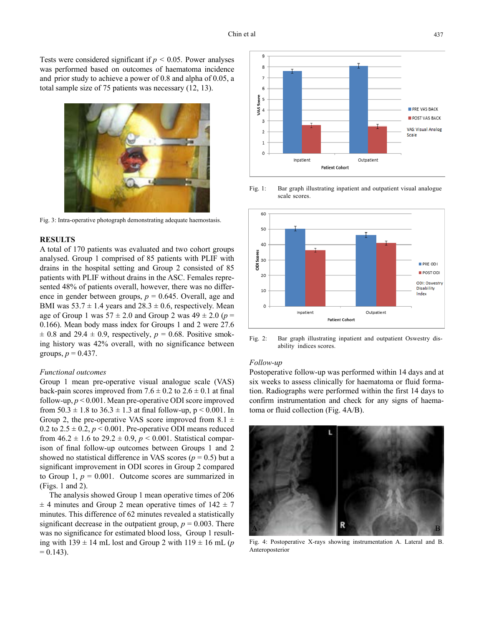Tests were considered significant if *p* < 0.05. Power analyses was performed based on outcomes of haematoma incidence and prior study to achieve a power of 0.8 and alpha of 0.05, a total sample size of 75 patients was necessary (12, 13).



Fig. 3: Intra-operative photograph demonstrating adequate haemostasis.

## **RESULTS**

A total of 170 patients was evaluated and two cohort groups analysed. Group 1 comprised of 85 patients with PLIF with drains in the hospital setting and Group 2 consisted of 85 patients with PLIF without drains in the ASC. Females represented 48% of patients overall, however, there was no difference in gender between groups,  $p = 0.645$ . Overall, age and BMI was  $53.7 \pm 1.4$  years and  $28.3 \pm 0.6$ , respectively. Mean age of Group 1 was  $57 \pm 2.0$  and Group 2 was  $49 \pm 2.0$  ( $p =$ 0.166). Mean body mass index for Groups 1 and 2 were 27.6  $\pm$  0.8 and 29.4  $\pm$  0.9, respectively,  $p = 0.68$ . Positive smoking history was 42% overall, with no significance between groups,  $p = 0.437$ .

## *Functional outcomes*

Group 1 mean pre-operative visual analogue scale (VAS) back-pain scores improved from  $7.6 \pm 0.2$  to  $2.6 \pm 0.1$  at final follow-up, *p* < 0.001. Mean pre-operative ODI score improved from  $50.3 \pm 1.8$  to  $36.3 \pm 1.3$  at final follow-up,  $p \le 0.001$ . In Group 2, the pre-operative VAS score improved from 8.1  $\pm$ 0.2 to  $2.5 \pm 0.2$ ,  $p \le 0.001$ . Pre-operative ODI means reduced from  $46.2 \pm 1.6$  to  $29.2 \pm 0.9$ ,  $p < 0.001$ . Statistical comparison of final follow-up outcomes between Groups 1 and 2 showed no statistical difference in VAS scores ( $p = 0.5$ ) but a significant improvement in ODI scores in Group 2 compared to Group 1,  $p = 0.001$ . Outcome scores are summarized in (Figs. 1 and 2).

The analysis showed Group 1 mean operative times of 206  $\pm$  4 minutes and Group 2 mean operative times of 142  $\pm$  7 minutes. This difference of 62 minutes revealed a statistically significant decrease in the outpatient group,  $p = 0.003$ . There was no significance for estimated blood loss, Group 1 resulting with  $139 \pm 14$  mL lost and Group 2 with  $119 \pm 16$  mL (*p*  $= 0.143$ .



Fig. 1: Bar graph illustrating inpatient and outpatient visual analogue scale scores.



Fig. 2: Bar graph illustrating inpatient and outpatient Oswestry disability indices scores.

#### *Follow-up*

Postoperative follow-up was performed within 14 days and at six weeks to assess clinically for haematoma or fluid formation. Radiographs were performed within the first 14 days to confirm instrumentation and check for any signs of haematoma or fluid collection (Fig. 4A/B).



Fig. 4: Postoperative X-rays showing instrumentation A. Lateral and B. Anteroposterior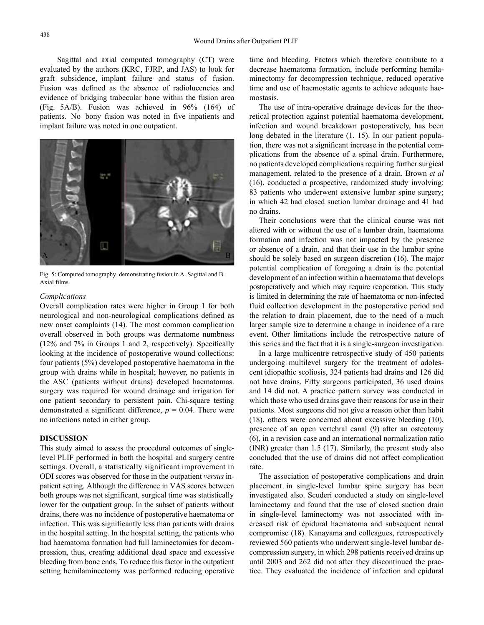Sagittal and axial computed tomography (CT) were evaluated by the authors (KRC, FJRP, and JAS) to look for graft subsidence, implant failure and status of fusion. Fusion was defined as the absence of radiolucencies and evidence of bridging trabecular bone within the fusion area (Fig. 5A/B). Fusion was achieved in 96% (164) of patients. No bony fusion was noted in five inpatients and implant failure was noted in one outpatient.



Fig. 5: Computed tomography demonstrating fusion in A. Sagittal and B. Axial films.

## *Complications*

Overall complication rates were higher in Group 1 for both neurological and non-neurological complications defined as new onset complaints (14). The most common complication overall observed in both groups was dermatome numbness (12% and 7% in Groups 1 and 2, respectively). Specifically looking at the incidence of postoperative wound collections: four patients (5%) developed postoperative haematoma in the group with drains while in hospital; however, no patients in the ASC (patients without drains) developed haematomas. surgery was required for wound drainage and irrigation for one patient secondary to persistent pain. Chi-square testing demonstrated a significant difference,  $p = 0.04$ . There were no infections noted in either group.

# **DISCUSSION**

This study aimed to assess the procedural outcomes of singlelevel PLIF performed in both the hospital and surgery centre settings. Overall, a statistically significant improvement in ODI scores was observed for those in the outpatient *versus* inpatient setting. Although the difference in VAS scores between both groups was not significant, surgical time was statistically lower for the outpatient group. In the subset of patients without drains, there was no incidence of postoperative haematoma or infection. This was significantly less than patients with drains in the hospital setting. In the hospital setting, the patients who had haematoma formation had full laminectomies for decompression, thus, creating additional dead space and excessive bleeding from bone ends. To reduce this factor in the outpatient setting hemilaminectomy was performed reducing operative time and bleeding. Factors which therefore contribute to a decrease haematoma formation, include performing hemilaminectomy for decompression technique, reduced operative time and use of haemostatic agents to achieve adequate haemostasis.

The use of intra-operative drainage devices for the theoretical protection against potential haematoma development, infection and wound breakdown postoperatively, has been long debated in the literature  $(1, 15)$ . In our patient population, there was not a significant increase in the potential complications from the absence of a spinal drain. Furthermore, no patients developed complications requiring further surgical management, related to the presence of a drain. Brown *et al*  (16), conducted a prospective, randomized study involving: 83 patients who underwent extensive lumbar spine surgery; in which 42 had closed suction lumbar drainage and 41 had no drains.

Their conclusions were that the clinical course was not altered with or without the use of a lumbar drain, haematoma formation and infection was not impacted by the presence or absence of a drain, and that their use in the lumbar spine should be solely based on surgeon discretion (16). The major potential complication of foregoing a drain is the potential development of an infection within a haematoma that develops postoperatively and which may require reoperation. This study is limited in determining the rate of haematoma or non-infected fluid collection development in the postoperative period and the relation to drain placement, due to the need of a much larger sample size to determine a change in incidence of a rare event. Other limitations include the retrospective nature of this series and the fact that it is a single-surgeon investigation.

In a large multicentre retrospective study of 450 patients undergoing multilevel surgery for the treatment of adolescent idiopathic scoliosis, 324 patients had drains and 126 did not have drains. Fifty surgeons participated, 36 used drains and 14 did not. A practice pattern survey was conducted in which those who used drains gave their reasons for use in their patients. Most surgeons did not give a reason other than habit (18), others were concerned about excessive bleeding (10), presence of an open vertebral canal (9) after an osteotomy (6), in a revision case and an international normalization ratio (INR) greater than 1.5 (17). Similarly, the present study also concluded that the use of drains did not affect complication rate.

The association of postoperative complications and drain placement in single-level lumbar spine surgery has been investigated also. Scuderi conducted a study on single-level laminectomy and found that the use of closed suction drain in single-level laminectomy was not associated with increased risk of epidural haematoma and subsequent neural compromise (18). Kanayama and colleagues, retrospectively reviewed 560 patients who underwent single-level lumbar decompression surgery, in which 298 patients received drains up until 2003 and 262 did not after they discontinued the practice. They evaluated the incidence of infection and epidural